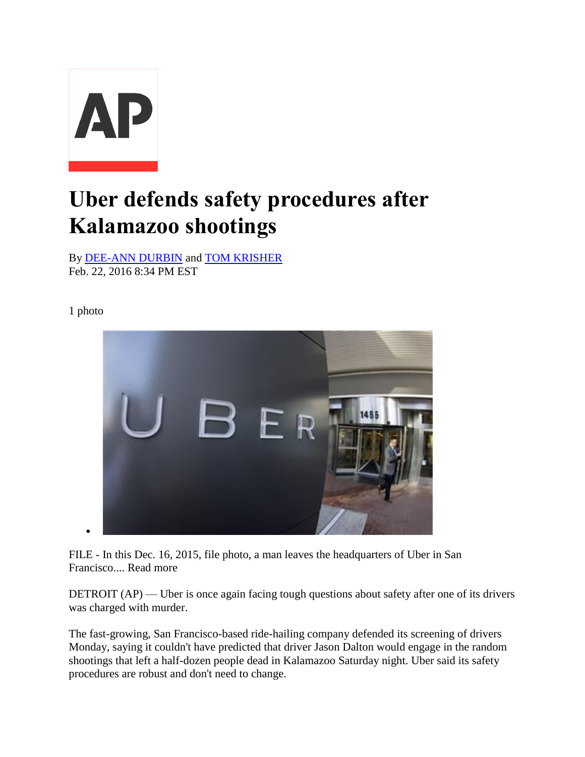

## **Uber defends safety procedures after Kalamazoo shootings**

By [DEE-ANN DURBIN](http://bigstory.ap.org/content/dee-ann-durbin) and [TOM KRISHER](http://bigstory.ap.org/content/tom-krisher) Feb. 22, 2016 8:34 PM EST

1 photo



FILE - In this Dec. 16, 2015, file photo, a man leaves the headquarters of Uber in San Francisco.... Read more

DETROIT (AP) — Uber is once again facing tough questions about safety after one of its drivers was charged with murder.

The fast-growing, San Francisco-based ride-hailing company defended its screening of drivers Monday, saying it couldn't have predicted that driver Jason Dalton would engage in the random shootings that left a half-dozen people dead in Kalamazoo Saturday night. Uber said its safety procedures are robust and don't need to change.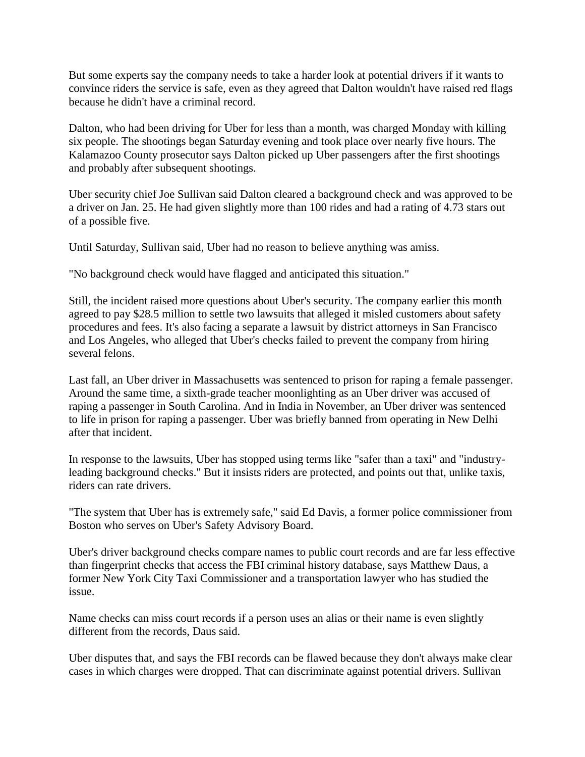But some experts say the company needs to take a harder look at potential drivers if it wants to convince riders the service is safe, even as they agreed that Dalton wouldn't have raised red flags because he didn't have a criminal record.

Dalton, who had been driving for Uber for less than a month, was charged Monday with killing six people. The shootings began Saturday evening and took place over nearly five hours. The Kalamazoo County prosecutor says Dalton picked up Uber passengers after the first shootings and probably after subsequent shootings.

Uber security chief Joe Sullivan said Dalton cleared a background check and was approved to be a driver on Jan. 25. He had given slightly more than 100 rides and had a rating of 4.73 stars out of a possible five.

Until Saturday, Sullivan said, Uber had no reason to believe anything was amiss.

"No background check would have flagged and anticipated this situation."

Still, the incident raised more questions about Uber's security. The company earlier this month agreed to pay \$28.5 million to settle two lawsuits that alleged it misled customers about safety procedures and fees. It's also facing a separate a lawsuit by district attorneys in San Francisco and Los Angeles, who alleged that Uber's checks failed to prevent the company from hiring several felons.

Last fall, an Uber driver in Massachusetts was sentenced to prison for raping a female passenger. Around the same time, a sixth-grade teacher moonlighting as an Uber driver was accused of raping a passenger in South Carolina. And in India in November, an Uber driver was sentenced to life in prison for raping a passenger. Uber was briefly banned from operating in New Delhi after that incident.

In response to the lawsuits, Uber has stopped using terms like "safer than a taxi" and "industryleading background checks." But it insists riders are protected, and points out that, unlike taxis, riders can rate drivers.

"The system that Uber has is extremely safe," said Ed Davis, a former police commissioner from Boston who serves on Uber's Safety Advisory Board.

Uber's driver background checks compare names to public court records and are far less effective than fingerprint checks that access the FBI criminal history database, says Matthew Daus, a former New York City Taxi Commissioner and a transportation lawyer who has studied the issue.

Name checks can miss court records if a person uses an alias or their name is even slightly different from the records, Daus said.

Uber disputes that, and says the FBI records can be flawed because they don't always make clear cases in which charges were dropped. That can discriminate against potential drivers. Sullivan